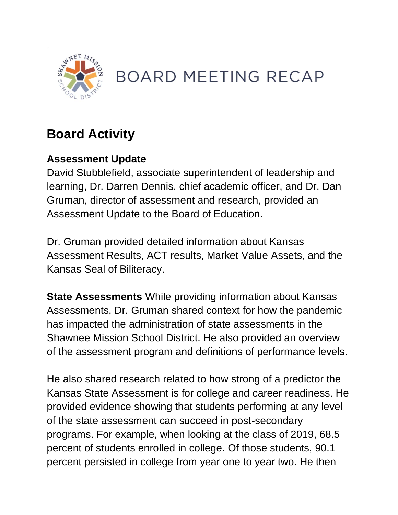

## **BOARD MEETING RECAP**

## **Board Activity**

## **Assessment Update**

David Stubblefield, associate superintendent of leadership and learning, Dr. Darren Dennis, chief academic officer, and Dr. Dan Gruman, director of assessment and research, provided an Assessment Update to the Board of Education.

Dr. Gruman provided detailed information about Kansas Assessment Results, ACT results, Market Value Assets, and the Kansas Seal of Biliteracy.

**State Assessments** While providing information about Kansas Assessments, Dr. Gruman shared context for how the pandemic has impacted the administration of state assessments in the Shawnee Mission School District. He also provided an overview of the assessment program and definitions of performance levels.

He also shared research related to how strong of a predictor the Kansas State Assessment is for college and career readiness. He provided evidence showing that students performing at any level of the state assessment can succeed in post-secondary programs. For example, when looking at the class of 2019, 68.5 percent of students enrolled in college. Of those students, 90.1 percent persisted in college from year one to year two. He then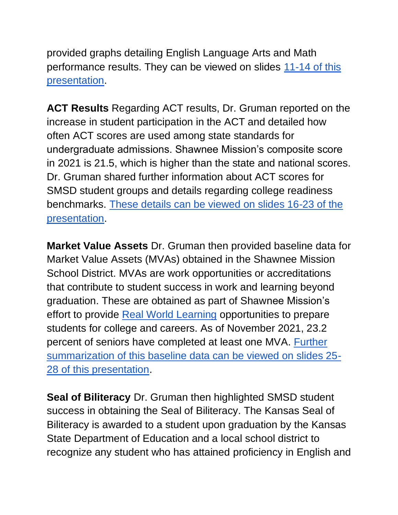provided graphs detailing English Language Arts and Math performance results. They can be viewed on slides [11-14 of this](https://go.boarddocs.com/ks/smsd/Board.nsf/files/C9KP6S5F45B2/$file/Board%20Meeting%202021_December.pdf)  [presentation.](https://go.boarddocs.com/ks/smsd/Board.nsf/files/C9KP6S5F45B2/$file/Board%20Meeting%202021_December.pdf)

**ACT Results** Regarding ACT results, Dr. Gruman reported on the increase in student participation in the ACT and detailed how often ACT scores are used among state standards for undergraduate admissions. Shawnee Mission's composite score in 2021 is 21.5, which is higher than the state and national scores. Dr. Gruman shared further information about ACT scores for SMSD student groups and details regarding college readiness benchmarks. [These details can be viewed on slides 16-23 of the](https://go.boarddocs.com/ks/smsd/Board.nsf/files/C9KP6S5F45B2/$file/Board%20Meeting%202021_December.pdf)  [presentation.](https://go.boarddocs.com/ks/smsd/Board.nsf/files/C9KP6S5F45B2/$file/Board%20Meeting%202021_December.pdf)

**Market Value Assets** Dr. Gruman then provided baseline data for Market Value Assets (MVAs) obtained in the Shawnee Mission School District. MVAs are work opportunities or accreditations that contribute to student success in work and learning beyond graduation. These are obtained as part of Shawnee Mission's effort to provide [Real World Learning](https://www.smsd.org/academics/real-world-learning) opportunities to prepare students for college and careers. As of November 2021, 23.2 percent of seniors have completed at least one MVA. [Further](https://go.boarddocs.com/ks/smsd/Board.nsf/files/C9KP6S5F45B2/$file/Board%20Meeting%202021_December.pdf)  [summarization of this baseline data can be viewed on slides 25-](https://go.boarddocs.com/ks/smsd/Board.nsf/files/C9KP6S5F45B2/$file/Board%20Meeting%202021_December.pdf) [28 of this presentation.](https://go.boarddocs.com/ks/smsd/Board.nsf/files/C9KP6S5F45B2/$file/Board%20Meeting%202021_December.pdf)

**Seal of Biliteracy** Dr. Gruman then highlighted SMSD student success in obtaining the Seal of Biliteracy. The Kansas Seal of Biliteracy is awarded to a student upon graduation by the Kansas State Department of Education and a local school district to recognize any student who has attained proficiency in English and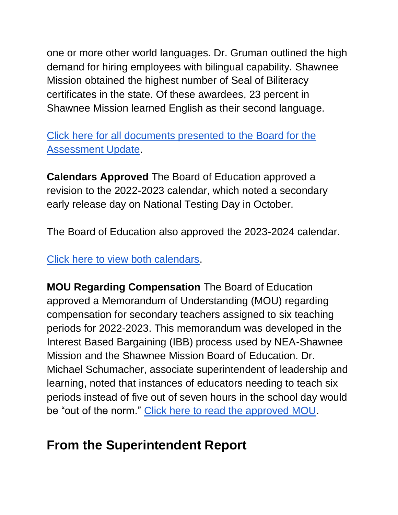one or more other world languages. Dr. Gruman outlined the high demand for hiring employees with bilingual capability. Shawnee Mission obtained the highest number of Seal of Biliteracy certificates in the state. Of these awardees, 23 percent in Shawnee Mission learned English as their second language.

[Click here for all documents presented to the Board for the](http://go.boarddocs.com/ks/smsd/Board.nsf/goto?open&id=C9FQJ6697CF5)  [Assessment Update.](http://go.boarddocs.com/ks/smsd/Board.nsf/goto?open&id=C9FQJ6697CF5)

**Calendars Approved** The Board of Education approved a revision to the 2022-2023 calendar, which noted a secondary early release day on National Testing Day in October.

The Board of Education also approved the 2023-2024 calendar.

[Click here to view both calendars.](http://go.boarddocs.com/ks/smsd/Board.nsf/goto?open&id=C9CTBN748B8D)

**MOU Regarding Compensation** The Board of Education approved a Memorandum of Understanding (MOU) regarding compensation for secondary teachers assigned to six teaching periods for 2022-2023. This memorandum was developed in the Interest Based Bargaining (IBB) process used by NEA-Shawnee Mission and the Shawnee Mission Board of Education. Dr. Michael Schumacher, associate superintendent of leadership and learning, noted that instances of educators needing to teach six periods instead of five out of seven hours in the school day would be "out of the norm." [Click here to read the approved MOU.](http://go.boarddocs.com/ks/smsd/Board.nsf/goto?open&id=C9JSQB6AC8BD)

## **From the Superintendent Report**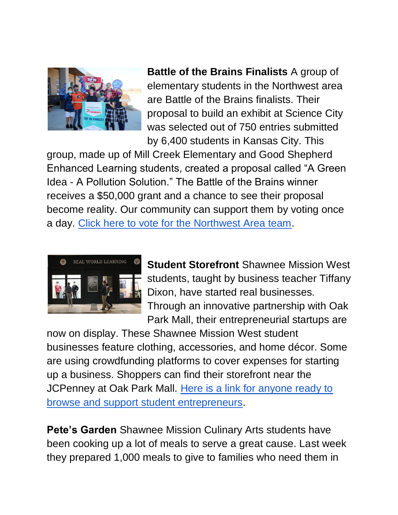

**Battle of the Brains Finalists** A group of elementary students in the Northwest area are Battle of the Brains finalists. Their proposal to build an exhibit at Science City was selected out of 750 entries submitted by 6,400 students in Kansas City. This

group, made up of Mill Creek Elementary and Good Shepherd Enhanced Learning students, created a proposal called "A Green Idea - A Pollution Solution." The Battle of the Brains winner receives a \$50,000 grant and a chance to see their proposal become reality. Our community can support them by voting once a day. [Click here to vote for the Northwest Area team.](https://botbkc.submittable.com/gallery/555afe32-06bf-4c59-8c53-b7c9d321a2ea/21951092/)



**Student Storefront** Shawnee Mission West students, taught by business teacher Tiffany Dixon, have started real businesses. Through an innovative partnership with Oak Park Mall, their entrepreneurial startups are

now on display. These Shawnee Mission West student businesses feature clothing, accessories, and home décor. Some are using crowdfunding platforms to cover expenses for starting up a business. Shoppers can find their storefront near the JCPenney at Oak Park Mall. [Here is a link for anyone ready to](https://www.smsd.org/about/news-archives/news-archive-details/~board/2021-2022-district-news/post/student-entrepreneurs-open-storefront-at-oak-park-mall)  [browse and support student entrepreneurs.](https://www.smsd.org/about/news-archives/news-archive-details/~board/2021-2022-district-news/post/student-entrepreneurs-open-storefront-at-oak-park-mall)

**Pete's Garden** Shawnee Mission Culinary Arts students have been cooking up a lot of meals to serve a great cause. Last week they prepared 1,000 meals to give to families who need them in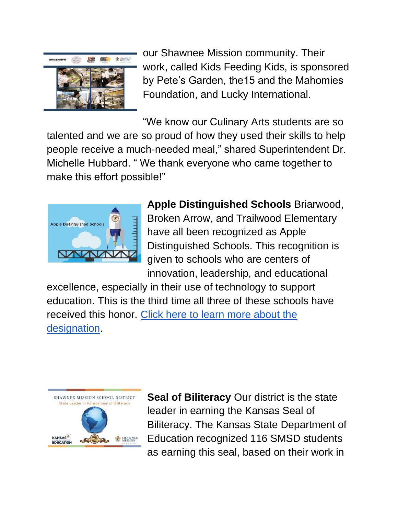

our Shawnee Mission community. Their work, called Kids Feeding Kids, is sponsored by Pete's Garden, the15 and the Mahomies Foundation, and Lucky International.

"We know our Culinary Arts students are so talented and we are so proud of how they used their skills to help people receive a much-needed meal," shared Superintendent Dr. Michelle Hubbard. " We thank everyone who came together to make this effort possible!"



**Apple Distinguished Schools** Briarwood, Broken Arrow, and Trailwood Elementary have all been recognized as Apple Distinguished Schools. This recognition is given to schools who are centers of innovation, leadership, and educational

excellence, especially in their use of technology to support education. This is the third time all three of these schools have received this honor. [Click here to learn more about the](https://www.smsd.org/academics/digital-learning-initiative/apple-distinguished-schools)  [designation.](https://www.smsd.org/academics/digital-learning-initiative/apple-distinguished-schools)



**Seal of Biliteracy** Our district is the state leader in earning the Kansas Seal of Biliteracy. The Kansas State Department of Education recognized 116 SMSD students as earning this seal, based on their work in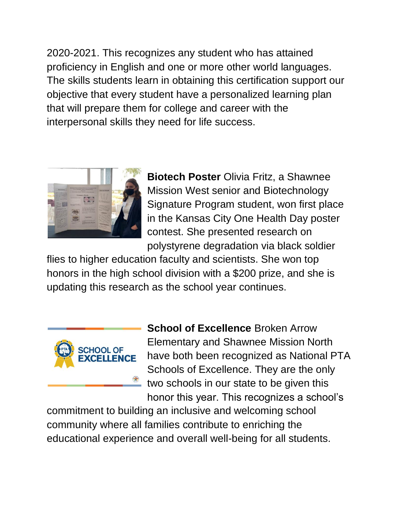2020-2021. This recognizes any student who has attained proficiency in English and one or more other world languages. The skills students learn in obtaining this certification support our objective that every student have a personalized learning plan that will prepare them for college and career with the interpersonal skills they need for life success.



**Biotech Poster** Olivia Fritz, a Shawnee Mission West senior and Biotechnology Signature Program student, won first place in the Kansas City One Health Day poster contest. She presented research on polystyrene degradation via black soldier

flies to higher education faculty and scientists. She won top honors in the high school division with a \$200 prize, and she is updating this research as the school year continues.



**School of Excellence** Broken Arrow Elementary and Shawnee Mission North have both been recognized as National PTA Schools of Excellence. They are the only two schools in our state to be given this honor this year. This recognizes a school's

commitment to building an inclusive and welcoming school community where all families contribute to enriching the educational experience and overall well-being for all students.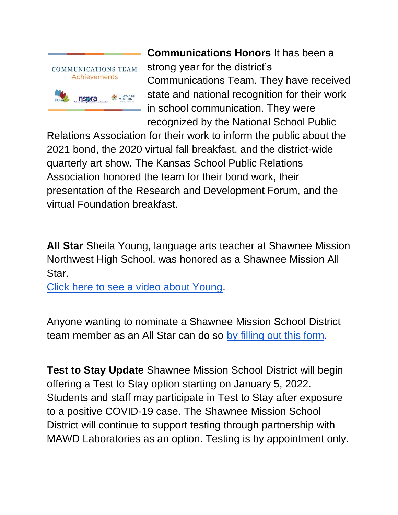

**Communications Honors** It has been a strong year for the district's Communications Team. They have received state and national recognition for their work in school communication. They were recognized by the National School Public

Relations Association for their work to inform the public about the 2021 bond, the 2020 virtual fall breakfast, and the district-wide quarterly art show. The Kansas School Public Relations Association honored the team for their bond work, their presentation of the Research and Development Forum, and the virtual Foundation breakfast.

**All Star** Sheila Young, language arts teacher at Shawnee Mission Northwest High School, was honored as a Shawnee Mission All Star.

[Click here to see a video about Young.](https://youtu.be/2xphgPLHe-Q)

Anyone wanting to nominate a Shawnee Mission School District team member as an All Star can do so [by filling out this form.](https://docs.google.com/forms/d/e/1FAIpQLSfC1sKB6zlzJqhrHZmQlADyj4IzEMbEr4LKtUhqJUDk_r-k-Q/viewform)

**Test to Stay Update** Shawnee Mission School District will begin offering a Test to Stay option starting on January 5, 2022. Students and staff may participate in Test to Stay after exposure to a positive COVID-19 case. The Shawnee Mission School District will continue to support testing through partnership with MAWD Laboratories as an option. Testing is by appointment only.